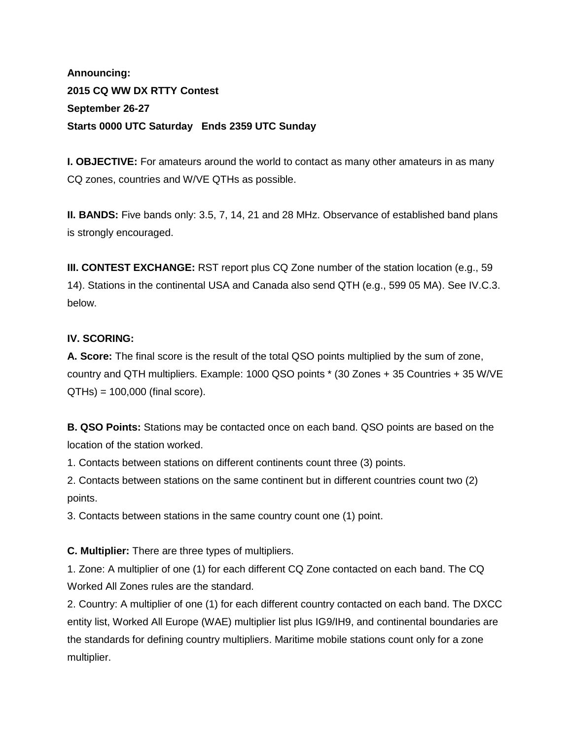# **Announcing: 2015 CQ WW DX RTTY Contest September 26-27 Starts 0000 UTC Saturday Ends 2359 UTC Sunday**

**I. OBJECTIVE:** For amateurs around the world to contact as many other amateurs in as many CQ zones, countries and W/VE QTHs as possible.

**II. BANDS:** Five bands only: 3.5, 7, 14, 21 and 28 MHz. Observance of established band plans is strongly encouraged.

**III. CONTEST EXCHANGE:** RST report plus CQ Zone number of the station location (e.g., 59 14). Stations in the continental USA and Canada also send QTH (e.g., 599 05 MA). See IV.C.3. below.

## **IV. SCORING:**

**A. Score:** The final score is the result of the total QSO points multiplied by the sum of zone, country and QTH multipliers. Example: 1000 QSO points \* (30 Zones + 35 Countries + 35 W/VE  $QTHs$  = 100,000 (final score).

**B. QSO Points:** Stations may be contacted once on each band. QSO points are based on the location of the station worked.

1. Contacts between stations on different continents count three (3) points.

2. Contacts between stations on the same continent but in different countries count two (2) points.

3. Contacts between stations in the same country count one (1) point.

**C. Multiplier:** There are three types of multipliers.

1. Zone: A multiplier of one (1) for each different CQ Zone contacted on each band. The CQ Worked All Zones rules are the standard.

2. Country: A multiplier of one (1) for each different country contacted on each band. The DXCC entity list, Worked All Europe (WAE) multiplier list plus IG9/IH9, and continental boundaries are the standards for defining country multipliers. Maritime mobile stations count only for a zone multiplier.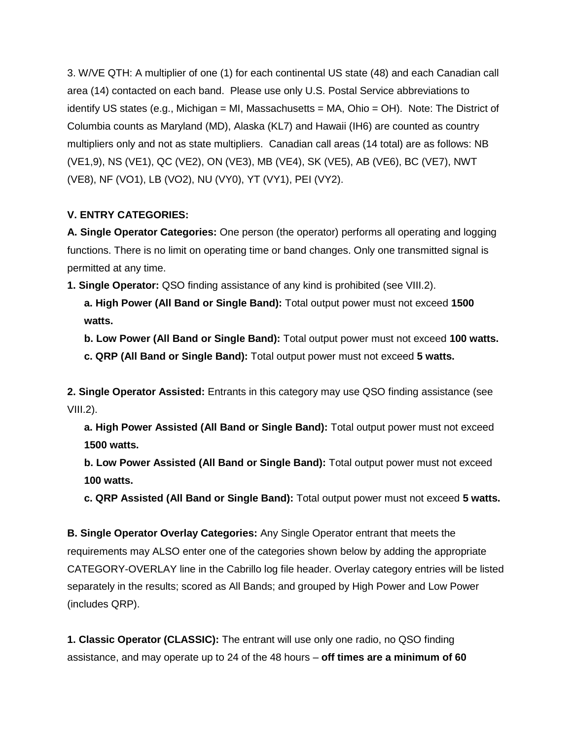3. W/VE QTH: A multiplier of one (1) for each continental US state (48) and each Canadian call area (14) contacted on each band. Please use only U.S. Postal Service abbreviations to identify US states (e.g., Michigan = MI, Massachusetts = MA, Ohio = OH). Note: The District of Columbia counts as Maryland (MD), Alaska (KL7) and Hawaii (IH6) are counted as country multipliers only and not as state multipliers. Canadian call areas (14 total) are as follows: NB (VE1,9), NS (VE1), QC (VE2), ON (VE3), MB (VE4), SK (VE5), AB (VE6), BC (VE7), NWT (VE8), NF (VO1), LB (VO2), NU (VY0), YT (VY1), PEI (VY2).

## **V. ENTRY CATEGORIES:**

**A. Single Operator Categories:** One person (the operator) performs all operating and logging functions. There is no limit on operating time or band changes. Only one transmitted signal is permitted at any time.

**1. Single Operator:** QSO finding assistance of any kind is prohibited (see VIII.2).

**a. High Power (All Band or Single Band):** Total output power must not exceed **1500 watts.**

**b. Low Power (All Band or Single Band):** Total output power must not exceed **100 watts.**

**c. QRP (All Band or Single Band):** Total output power must not exceed **5 watts.**

**2. Single Operator Assisted:** Entrants in this category may use QSO finding assistance (see  $VIII.2$ ).

**a. High Power Assisted (All Band or Single Band):** Total output power must not exceed **1500 watts.**

**b. Low Power Assisted (All Band or Single Band):** Total output power must not exceed **100 watts.**

**c. QRP Assisted (All Band or Single Band):** Total output power must not exceed **5 watts.**

**B. Single Operator Overlay Categories:** Any Single Operator entrant that meets the requirements may ALSO enter one of the categories shown below by adding the appropriate CATEGORY-OVERLAY line in the Cabrillo log file header. Overlay category entries will be listed separately in the results; scored as All Bands; and grouped by High Power and Low Power (includes QRP).

**1. Classic Operator (CLASSIC):** The entrant will use only one radio, no QSO finding assistance, and may operate up to 24 of the 48 hours – **off times are a minimum of 60**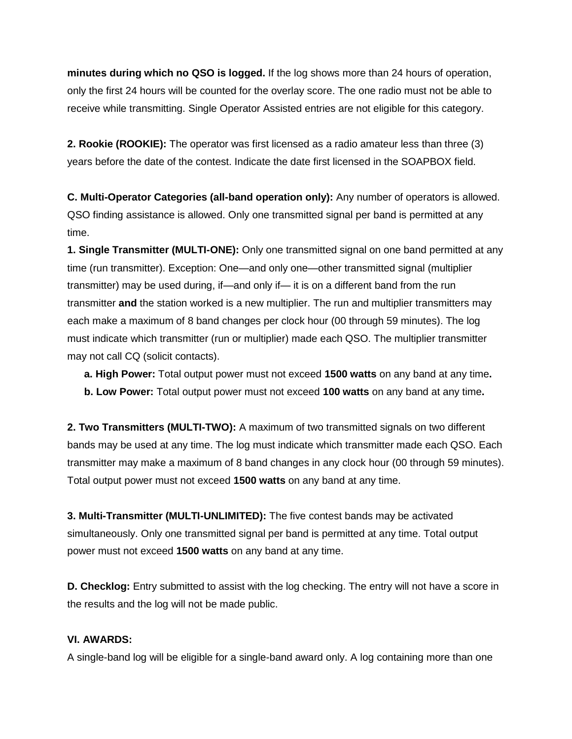**minutes during which no QSO is logged.** If the log shows more than 24 hours of operation, only the first 24 hours will be counted for the overlay score. The one radio must not be able to receive while transmitting. Single Operator Assisted entries are not eligible for this category.

**2. Rookie (ROOKIE):** The operator was first licensed as a radio amateur less than three (3) years before the date of the contest. Indicate the date first licensed in the SOAPBOX field.

**C. Multi-Operator Categories (all-band operation only):** Any number of operators is allowed. QSO finding assistance is allowed. Only one transmitted signal per band is permitted at any time.

**1. Single Transmitter (MULTI-ONE):** Only one transmitted signal on one band permitted at any time (run transmitter). Exception: One—and only one—other transmitted signal (multiplier transmitter) may be used during, if—and only if— it is on a different band from the run transmitter **and** the station worked is a new multiplier. The run and multiplier transmitters may each make a maximum of 8 band changes per clock hour (00 through 59 minutes). The log must indicate which transmitter (run or multiplier) made each QSO. The multiplier transmitter may not call CQ (solicit contacts).

**a. High Power:** Total output power must not exceed **1500 watts** on any band at any time**. b. Low Power:** Total output power must not exceed **100 watts** on any band at any time**.**

**2. Two Transmitters (MULTI-TWO):** A maximum of two transmitted signals on two different bands may be used at any time. The log must indicate which transmitter made each QSO. Each transmitter may make a maximum of 8 band changes in any clock hour (00 through 59 minutes). Total output power must not exceed **1500 watts** on any band at any time.

**3. Multi-Transmitter (MULTI-UNLIMITED):** The five contest bands may be activated simultaneously. Only one transmitted signal per band is permitted at any time. Total output power must not exceed **1500 watts** on any band at any time.

**D. Checklog:** Entry submitted to assist with the log checking. The entry will not have a score in the results and the log will not be made public.

#### **VI. AWARDS:**

A single-band log will be eligible for a single-band award only. A log containing more than one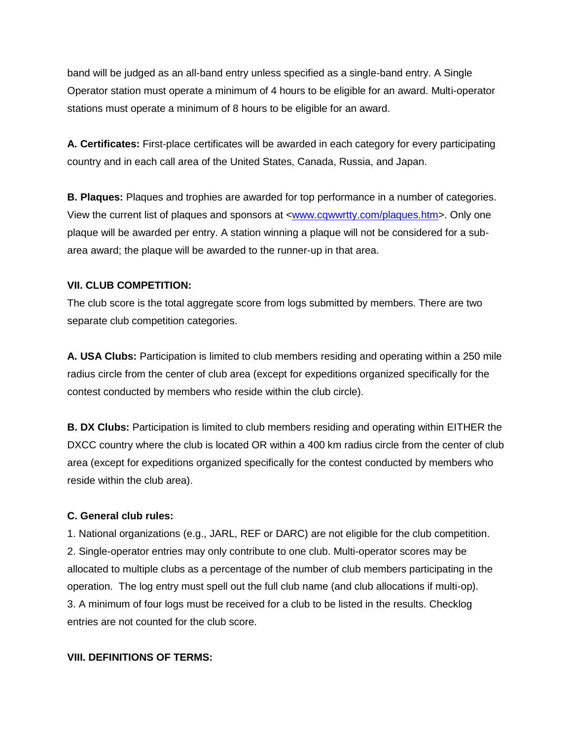band will be judged as an all-band entry unless specified as a single-band entry. A Single Operator station must operate a minimum of 4 hours to be eligible for an award. Multi-operator stations must operate a minimum of 8 hours to be eligible for an award.

**A. Certificates:** First-place certificates will be awarded in each category for every participating country and in each call area of the United States, Canada, Russia, and Japan.

**B. Plaques:** Plaques and trophies are awarded for top performance in a number of categories. View the current list of plaques and sponsors at [<www.cqwwrtty.com/plaques.htm>](http://www.cqwwrtty.com/plaques.htm). Only one plaque will be awarded per entry. A station winning a plaque will not be considered for a subarea award; the plaque will be awarded to the runner-up in that area.

### **VII. CLUB COMPETITION:**

The club score is the total aggregate score from logs submitted by members. There are two separate club competition categories.

**A. USA Clubs:** Participation is limited to club members residing and operating within a 250 mile radius circle from the center of club area (except for expeditions organized specifically for the contest conducted by members who reside within the club circle).

**B. DX Clubs:** Participation is limited to club members residing and operating within EITHER the DXCC country where the club is located OR within a 400 km radius circle from the center of club area (except for expeditions organized specifically for the contest conducted by members who reside within the club area).

#### **C. General club rules:**

1. National organizations (e.g., JARL, REF or DARC) are not eligible for the club competition. 2. Single-operator entries may only contribute to one club. Multi-operator scores may be allocated to multiple clubs as a percentage of the number of club members participating in the operation. The log entry must spell out the full club name (and club allocations if multi-op). 3. A minimum of four logs must be received for a club to be listed in the results. Checklog entries are not counted for the club score.

#### **VIII. DEFINITIONS OF TERMS:**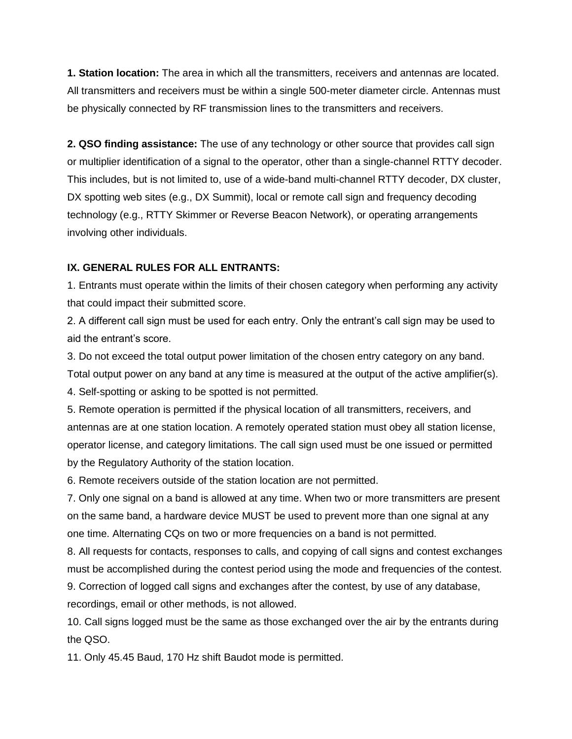**1. Station location:** The area in which all the transmitters, receivers and antennas are located. All transmitters and receivers must be within a single 500-meter diameter circle. Antennas must be physically connected by RF transmission lines to the transmitters and receivers.

**2. QSO finding assistance:** The use of any technology or other source that provides call sign or multiplier identification of a signal to the operator, other than a single-channel RTTY decoder. This includes, but is not limited to, use of a wide-band multi-channel RTTY decoder, DX cluster, DX spotting web sites (e.g., DX Summit), local or remote call sign and frequency decoding technology (e.g., RTTY Skimmer or Reverse Beacon Network), or operating arrangements involving other individuals.

#### **IX. GENERAL RULES FOR ALL ENTRANTS:**

1. Entrants must operate within the limits of their chosen category when performing any activity that could impact their submitted score.

2. A different call sign must be used for each entry. Only the entrant's call sign may be used to aid the entrant's score.

3. Do not exceed the total output power limitation of the chosen entry category on any band.

Total output power on any band at any time is measured at the output of the active amplifier(s).

4. Self-spotting or asking to be spotted is not permitted.

5. Remote operation is permitted if the physical location of all transmitters, receivers, and antennas are at one station location. A remotely operated station must obey all station license, operator license, and category limitations. The call sign used must be one issued or permitted by the Regulatory Authority of the station location.

6. Remote receivers outside of the station location are not permitted.

7. Only one signal on a band is allowed at any time. When two or more transmitters are present on the same band, a hardware device MUST be used to prevent more than one signal at any one time. Alternating CQs on two or more frequencies on a band is not permitted.

8. All requests for contacts, responses to calls, and copying of call signs and contest exchanges must be accomplished during the contest period using the mode and frequencies of the contest.

9. Correction of logged call signs and exchanges after the contest, by use of any database, recordings, email or other methods, is not allowed.

10. Call signs logged must be the same as those exchanged over the air by the entrants during the QSO.

11. Only 45.45 Baud, 170 Hz shift Baudot mode is permitted.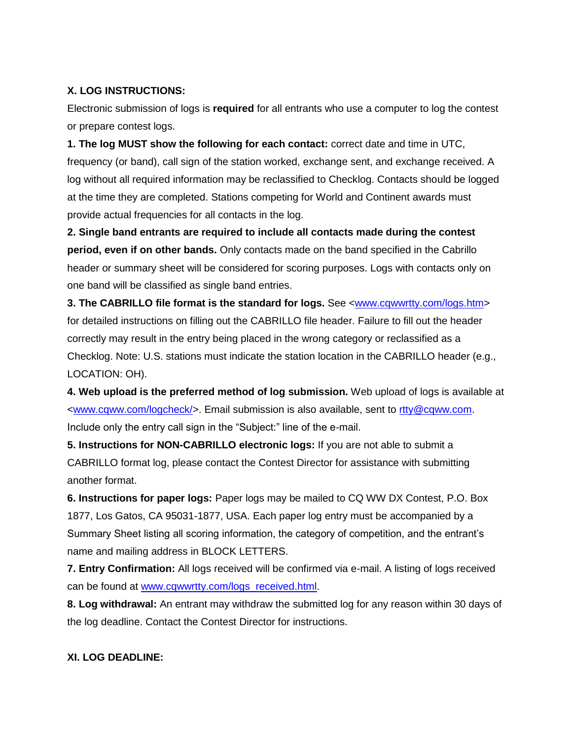## **X. LOG INSTRUCTIONS:**

Electronic submission of logs is **required** for all entrants who use a computer to log the contest or prepare contest logs.

**1. The log MUST show the following for each contact:** correct date and time in UTC, frequency (or band), call sign of the station worked, exchange sent, and exchange received. A log without all required information may be reclassified to Checklog. Contacts should be logged at the time they are completed. Stations competing for World and Continent awards must provide actual frequencies for all contacts in the log.

**2. Single band entrants are required to include all contacts made during the contest period, even if on other bands.** Only contacts made on the band specified in the Cabrillo header or summary sheet will be considered for scoring purposes. Logs with contacts only on one band will be classified as single band entries.

**3. The CABRILLO file format is the standard for logs.** See [<www.cqwwrtty.com/logs.htm>](http://www.cqwwrtty.com/logs.htm) for detailed instructions on filling out the CABRILLO file header. Failure to fill out the header correctly may result in the entry being placed in the wrong category or reclassified as a Checklog. Note: U.S. stations must indicate the station location in the CABRILLO header (e.g., LOCATION: OH).

**4. Web upload is the preferred method of log submission.** Web upload of logs is available at [<www.cqww.com/logcheck/>](../../../AppData/Local/Microsoft/Windows/Temporary%20Internet%20Files/OLKE307/www.cqww.com/logcheck/). Email submission is also available, sent to [rtty@cqww.com.](mailto:rtty@cqww.com) Include only the entry call sign in the "Subject:" line of the e-mail.

**5. Instructions for NON-CABRILLO electronic logs:** If you are not able to submit a CABRILLO format log, please contact the Contest Director for assistance with submitting another format.

**6. Instructions for paper logs:** Paper logs may be mailed to CQ WW DX Contest, P.O. Box 1877, Los Gatos, CA 95031-1877, USA. Each paper log entry must be accompanied by a Summary Sheet listing all scoring information, the category of competition, and the entrant's name and mailing address in BLOCK LETTERS.

**7. Entry Confirmation:** All logs received will be confirmed via e-mail. A listing of logs received can be found at [www.cqwwrtty.com/](http://www.cqwwrtty.com/)logs\_received.html.

**8. Log withdrawal:** An entrant may withdraw the submitted log for any reason within 30 days of the log deadline. Contact the Contest Director for instructions.

## **XI. LOG DEADLINE:**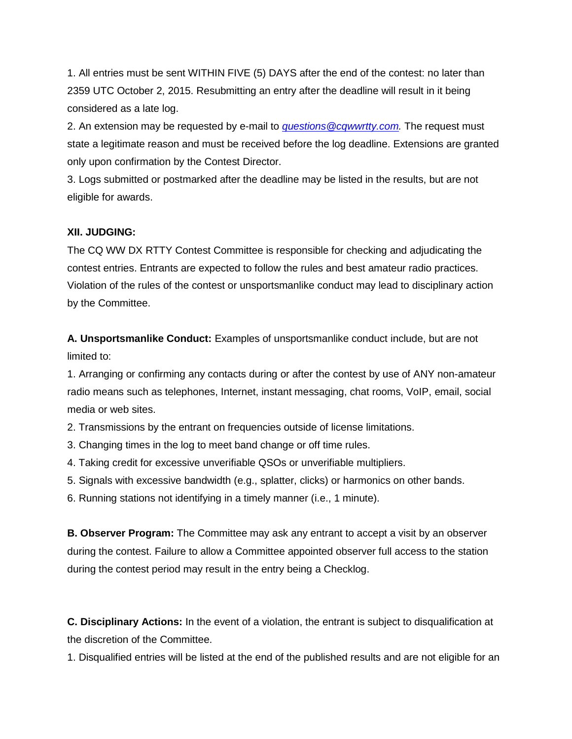1. All entries must be sent WITHIN FIVE (5) DAYS after the end of the contest: no later than 2359 UTC October 2, 2015. Resubmitting an entry after the deadline will result in it being considered as a late log.

2. An extension may be requested by e-mail to *[questions@cqwwrtty.com.](mailto:questions@cqwwrtty.com)* The request must state a legitimate reason and must be received before the log deadline. Extensions are granted only upon confirmation by the Contest Director.

3. Logs submitted or postmarked after the deadline may be listed in the results, but are not eligible for awards.

#### **XII. JUDGING:**

The CQ WW DX RTTY Contest Committee is responsible for checking and adjudicating the contest entries. Entrants are expected to follow the rules and best amateur radio practices. Violation of the rules of the contest or unsportsmanlike conduct may lead to disciplinary action by the Committee.

**A. Unsportsmanlike Conduct:** Examples of unsportsmanlike conduct include, but are not limited to:

1. Arranging or confirming any contacts during or after the contest by use of ANY non-amateur radio means such as telephones, Internet, instant messaging, chat rooms, VoIP, email, social media or web sites.

2. Transmissions by the entrant on frequencies outside of license limitations.

3. Changing times in the log to meet band change or off time rules.

4. Taking credit for excessive unverifiable QSOs or unverifiable multipliers.

5. Signals with excessive bandwidth (e.g., splatter, clicks) or harmonics on other bands.

6. Running stations not identifying in a timely manner (i.e., 1 minute).

**B. Observer Program:** The Committee may ask any entrant to accept a visit by an observer during the contest. Failure to allow a Committee appointed observer full access to the station during the contest period may result in the entry being a Checklog.

**C. Disciplinary Actions:** In the event of a violation, the entrant is subject to disqualification at the discretion of the Committee.

1. Disqualified entries will be listed at the end of the published results and are not eligible for an